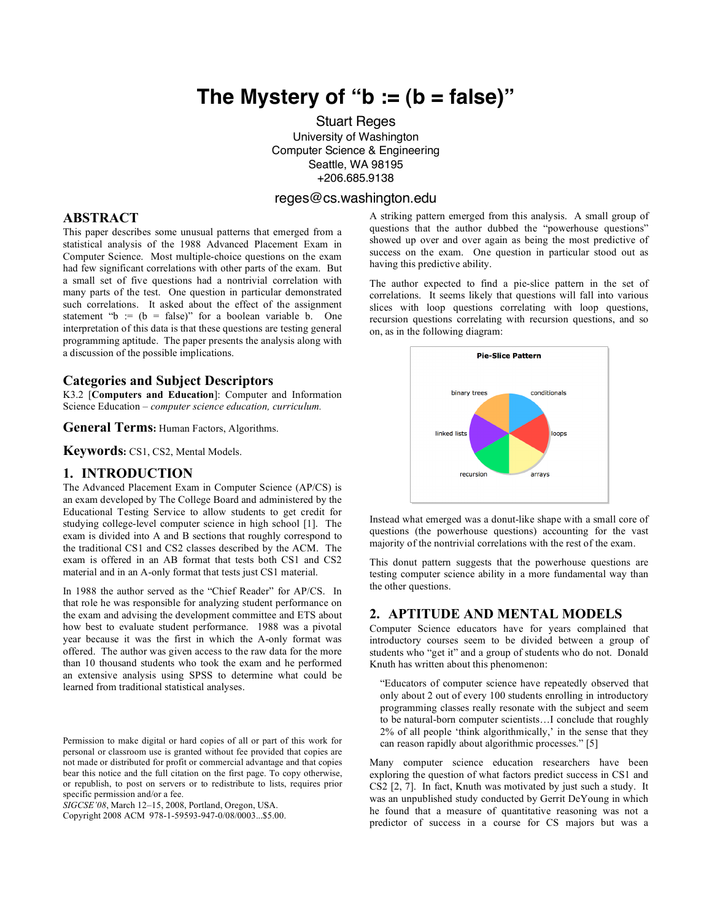# **The Mystery of "b := (b = false)"**

Stuart Reges University of Washington Computer Science & Engineering Seattle, WA 98195 +206.685.9138

# reges@cs.washington.edu

# **ABSTRACT**

This paper describes some unusual patterns that emerged from a statistical analysis of the 1988 Advanced Placement Exam in Computer Science. Most multiple-choice questions on the exam had few significant correlations with other parts of the exam. But a small set of five questions had a nontrivial correlation with many parts of the test. One question in particular demonstrated such correlations. It asked about the effect of the assignment statement " $b := (b = false)$ " for a boolean variable b. One interpretation of this data is that these questions are testing general programming aptitude. The paper presents the analysis along with a discussion of the possible implications.

#### **Categories and Subject Descriptors**

K3.2 [**Computers and Education**]: Computer and Information Science Education – *computer science education, curriculum.*

**General Terms:** Human Factors, Algorithms.

**Keywords:** CS1, CS2, Mental Models.

# **1. INTRODUCTION**

The Advanced Placement Exam in Computer Science (AP/CS) is an exam developed by The College Board and administered by the Educational Testing Service to allow students to get credit for studying college-level computer science in high school [1]. The exam is divided into A and B sections that roughly correspond to the traditional CS1 and CS2 classes described by the ACM. The exam is offered in an AB format that tests both CS1 and CS2 material and in an A-only format that tests just CS1 material.

In 1988 the author served as the "Chief Reader" for AP/CS. In that role he was responsible for analyzing student performance on the exam and advising the development committee and ETS about how best to evaluate student performance. 1988 was a pivotal year because it was the first in which the A-only format was offered. The author was given access to the raw data for the more than 10 thousand students who took the exam and he performed an extensive analysis using SPSS to determine what could be learned from traditional statistical analyses.

Permission to make digital or hard copies of all or part of this work for personal or classroom use is granted without fee provided that copies are not made or distributed for profit or commercial advantage and that copies bear this notice and the full citation on the first page. To copy otherwise, or republish, to post on servers or to redistribute to lists, requires prior specific permission and/or a fee.

*SIGCSE'08*, March 12–15, 2008, Portland, Oregon, USA.

Copyright 2008 ACM 978-1-59593-947-0/08/0003...\$5.00.

A striking pattern emerged from this analysis. A small group of questions that the author dubbed the "powerhouse questions" showed up over and over again as being the most predictive of success on the exam. One question in particular stood out as having this predictive ability.

The author expected to find a pie-slice pattern in the set of correlations. It seems likely that questions will fall into various slices with loop questions correlating with loop questions, recursion questions correlating with recursion questions, and so on, as in the following diagram:



Instead what emerged was a donut-like shape with a small core of questions (the powerhouse questions) accounting for the vast majority of the nontrivial correlations with the rest of the exam.

This donut pattern suggests that the powerhouse questions are testing computer science ability in a more fundamental way than the other questions.

# **2. APTITUDE AND MENTAL MODELS**

Computer Science educators have for years complained that introductory courses seem to be divided between a group of students who "get it" and a group of students who do not. Donald Knuth has written about this phenomenon:

"Educators of computer science have repeatedly observed that only about 2 out of every 100 students enrolling in introductory programming classes really resonate with the subject and seem to be natural-born computer scientists…I conclude that roughly 2% of all people 'think algorithmically,' in the sense that they can reason rapidly about algorithmic processes." [5]

Many computer science education researchers have been exploring the question of what factors predict success in CS1 and CS2 [2, 7]. In fact, Knuth was motivated by just such a study. It was an unpublished study conducted by Gerrit DeYoung in which he found that a measure of quantitative reasoning was not a predictor of success in a course for CS majors but was a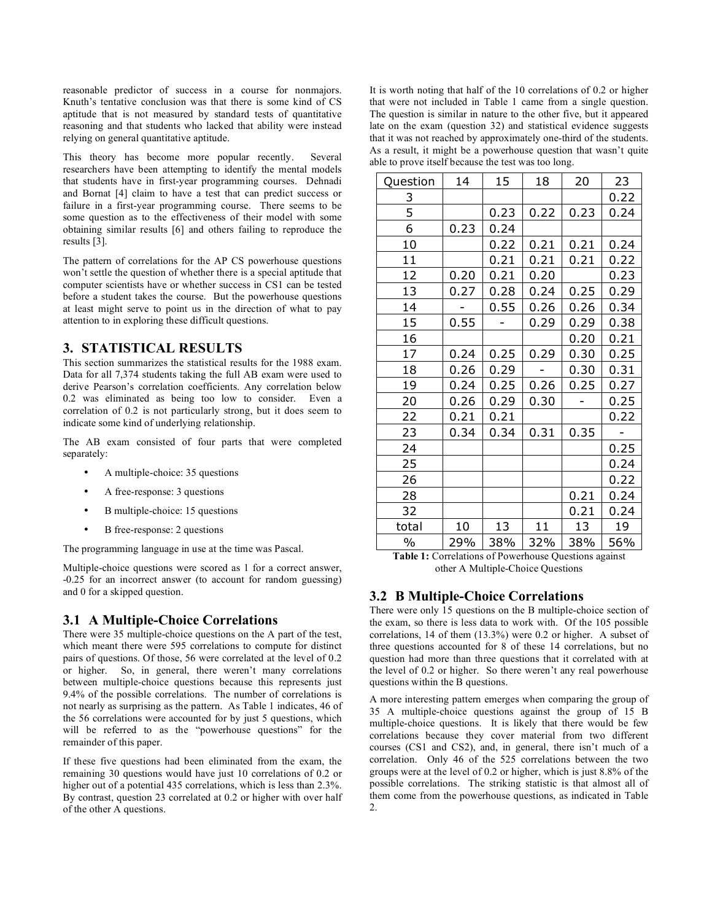reasonable predictor of success in a course for nonmajors. Knuth's tentative conclusion was that there is some kind of CS aptitude that is not measured by standard tests of quantitative reasoning and that students who lacked that ability were instead relying on general quantitative aptitude.

This theory has become more popular recently. Several researchers have been attempting to identify the mental models that students have in first-year programming courses. Dehnadi and Bornat [4] claim to have a test that can predict success or failure in a first-year programming course. There seems to be some question as to the effectiveness of their model with some obtaining similar results [6] and others failing to reproduce the results [3].

The pattern of correlations for the AP CS powerhouse questions won't settle the question of whether there is a special aptitude that computer scientists have or whether success in CS1 can be tested before a student takes the course. But the powerhouse questions at least might serve to point us in the direction of what to pay attention to in exploring these difficult questions.

#### **3. STATISTICAL RESULTS**

This section summarizes the statistical results for the 1988 exam. Data for all 7,374 students taking the full AB exam were used to derive Pearson's correlation coefficients. Any correlation below 0.2 was eliminated as being too low to consider. Even a correlation of 0.2 is not particularly strong, but it does seem to indicate some kind of underlying relationship.

The AB exam consisted of four parts that were completed separately:

- A multiple-choice: 35 questions
- A free-response: 3 questions
- B multiple-choice: 15 questions
- B free-response: 2 questions

The programming language in use at the time was Pascal.

Multiple-choice questions were scored as 1 for a correct answer, -0.25 for an incorrect answer (to account for random guessing) and 0 for a skipped question.

### **3.1 A Multiple-Choice Correlations**

There were 35 multiple-choice questions on the A part of the test, which meant there were 595 correlations to compute for distinct pairs of questions. Of those, 56 were correlated at the level of 0.2 or higher. So, in general, there weren't many correlations between multiple-choice questions because this represents just 9.4% of the possible correlations. The number of correlations is not nearly as surprising as the pattern. As Table 1 indicates, 46 of the 56 correlations were accounted for by just 5 questions, which will be referred to as the "powerhouse questions" for the remainder of this paper.

If these five questions had been eliminated from the exam, the remaining 30 questions would have just 10 correlations of 0.2 or higher out of a potential 435 correlations, which is less than 2.3%. By contrast, question 23 correlated at 0.2 or higher with over half of the other A questions.

It is worth noting that half of the 10 correlations of 0.2 or higher that were not included in Table 1 came from a single question. The question is similar in nature to the other five, but it appeared late on the exam (question 32) and statistical evidence suggests that it was not reached by approximately one-third of the students. As a result, it might be a powerhouse question that wasn't quite able to prove itself because the test was too long.

| Question                | 14   | 15   | 18   | 20   | 23   |
|-------------------------|------|------|------|------|------|
| $\overline{\mathbf{3}}$ |      |      |      |      | 0.22 |
| 5                       |      | 0.23 | 0.22 | 0.23 | 0.24 |
| 6                       | 0.23 | 0.24 |      |      |      |
| 10                      |      | 0.22 | 0.21 | 0.21 | 0.24 |
| 11                      |      | 0.21 | 0.21 | 0.21 | 0.22 |
| 12                      | 0.20 | 0.21 | 0.20 |      | 0.23 |
| 13                      | 0.27 | 0.28 | 0.24 | 0.25 | 0.29 |
| 14                      |      | 0.55 | 0.26 | 0.26 | 0.34 |
| 15                      | 0.55 |      | 0.29 | 0.29 | 0.38 |
| 16                      |      |      |      | 0.20 | 0.21 |
| 17                      | 0.24 | 0.25 | 0.29 | 0.30 | 0.25 |
| 18                      | 0.26 | 0.29 |      | 0.30 | 0.31 |
| 19                      | 0.24 | 0.25 | 0.26 | 0.25 | 0.27 |
| 20                      | 0.26 | 0.29 | 0.30 |      | 0.25 |
| 22                      | 0.21 | 0.21 |      |      | 0.22 |
| 23                      | 0.34 | 0.34 | 0.31 | 0.35 |      |
| 24                      |      |      |      |      | 0.25 |
| 25                      |      |      |      |      | 0.24 |
| 26                      |      |      |      |      | 0.22 |
| 28                      |      |      |      | 0.21 | 0.24 |
| 32                      |      |      |      | 0.21 | 0.24 |
| total                   | 10   | 13   | 11   | 13   | 19   |
| $\%$                    | 29%  | 38%  | 32%  | 38%  | 56%  |

**Table 1:** Correlations of Powerhouse Questions against other A Multiple-Choice Questions

#### **3.2 B Multiple-Choice Correlations**

There were only 15 questions on the B multiple-choice section of the exam, so there is less data to work with. Of the 105 possible correlations, 14 of them (13.3%) were 0.2 or higher. A subset of three questions accounted for 8 of these 14 correlations, but no question had more than three questions that it correlated with at the level of 0.2 or higher. So there weren't any real powerhouse questions within the B questions.

A more interesting pattern emerges when comparing the group of 35 A multiple-choice questions against the group of 15 B multiple-choice questions. It is likely that there would be few correlations because they cover material from two different courses (CS1 and CS2), and, in general, there isn't much of a correlation. Only 46 of the 525 correlations between the two groups were at the level of 0.2 or higher, which is just 8.8% of the possible correlations. The striking statistic is that almost all of them come from the powerhouse questions, as indicated in Table 2.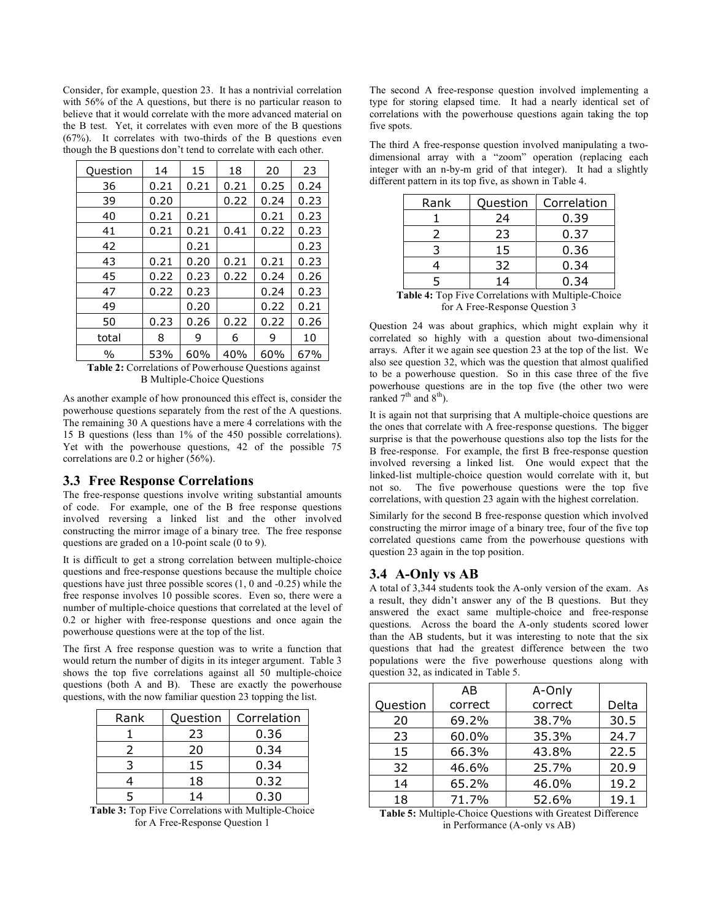Consider, for example, question 23. It has a nontrivial correlation with 56% of the A questions, but there is no particular reason to believe that it would correlate with the more advanced material on the B test. Yet, it correlates with even more of the B questions (67%). It correlates with two-thirds of the B questions even though the B questions don't tend to correlate with each other.

| Question      | 14   | 15   | 18   | 20   | 23   |
|---------------|------|------|------|------|------|
| 36            | 0.21 | 0.21 | 0.21 | 0.25 | 0.24 |
| 39            | 0.20 |      | 0.22 | 0.24 | 0.23 |
| 40            | 0.21 | 0.21 |      | 0.21 | 0.23 |
| 41            | 0.21 | 0.21 | 0.41 | 0.22 | 0.23 |
| 42            |      | 0.21 |      |      | 0.23 |
| 43            | 0.21 | 0.20 | 0.21 | 0.21 | 0.23 |
| 45            | 0.22 | 0.23 | 0.22 | 0.24 | 0.26 |
| 47            | 0.22 | 0.23 |      | 0.24 | 0.23 |
| 49            |      | 0.20 |      | 0.22 | 0.21 |
| 50            | 0.23 | 0.26 | 0.22 | 0.22 | 0.26 |
| total         | 8    | 9    | 6    | 9    | 10   |
| $\frac{0}{0}$ | 53%  | 60%  | 40%  | 60%  | 67%  |

**Table 2:** Correlations of Powerhouse Questions against B Multiple-Choice Questions

As another example of how pronounced this effect is, consider the powerhouse questions separately from the rest of the A questions. The remaining 30 A questions have a mere 4 correlations with the 15 B questions (less than 1% of the 450 possible correlations). Yet with the powerhouse questions, 42 of the possible 75 correlations are 0.2 or higher (56%).

#### **3.3 Free Response Correlations**

The free-response questions involve writing substantial amounts of code. For example, one of the B free response questions involved reversing a linked list and the other involved constructing the mirror image of a binary tree. The free response questions are graded on a 10-point scale (0 to 9).

It is difficult to get a strong correlation between multiple-choice questions and free-response questions because the multiple choice questions have just three possible scores (1, 0 and -0.25) while the free response involves 10 possible scores. Even so, there were a number of multiple-choice questions that correlated at the level of 0.2 or higher with free-response questions and once again the powerhouse questions were at the top of the list.

The first A free response question was to write a function that would return the number of digits in its integer argument. Table 3 shows the top five correlations against all 50 multiple-choice questions (both A and B). These are exactly the powerhouse questions, with the now familiar question 23 topping the list.

| Rank | Question | Correlation |
|------|----------|-------------|
|      | 23       | 0.36        |
|      | 20       | 0.34        |
|      | 15       | 0.34        |
|      | 18       | 0.32        |
|      | 14       | 0.30        |

**Table 3:** Top Five Correlations with Multiple-Choice for A Free-Response Question 1

The second A free-response question involved implementing a type for storing elapsed time. It had a nearly identical set of correlations with the powerhouse questions again taking the top five spots.

The third A free-response question involved manipulating a twodimensional array with a "zoom" operation (replacing each integer with an n-by-m grid of that integer). It had a slightly different pattern in its top five, as shown in Table 4.

| Rank | Question | Correlation |
|------|----------|-------------|
|      | 24       | 0.39        |
|      | 23       | 0.37        |
|      | 15       | 0.36        |
|      | 32       | 0.34        |
|      | 14       | 0.34        |
|      | -<br>. . |             |

**Table 4:** Top Five Correlations with Multiple-Choice for A Free-Response Question 3

Question 24 was about graphics, which might explain why it correlated so highly with a question about two-dimensional arrays. After it we again see question 23 at the top of the list. We also see question 32, which was the question that almost qualified to be a powerhouse question. So in this case three of the five powerhouse questions are in the top five (the other two were ranked  $7<sup>th</sup>$  and  $8<sup>th</sup>$ ).

It is again not that surprising that A multiple-choice questions are the ones that correlate with A free-response questions. The bigger surprise is that the powerhouse questions also top the lists for the B free-response. For example, the first B free-response question involved reversing a linked list. One would expect that the linked-list multiple-choice question would correlate with it, but not so. The five powerhouse questions were the top five correlations, with question 23 again with the highest correlation.

Similarly for the second B free-response question which involved constructing the mirror image of a binary tree, four of the five top correlated questions came from the powerhouse questions with question 23 again in the top position.

#### **3.4 A-Only vs AB**

A total of 3,344 students took the A-only version of the exam. As a result, they didn't answer any of the B questions. But they answered the exact same multiple-choice and free-response questions. Across the board the A-only students scored lower than the AB students, but it was interesting to note that the six questions that had the greatest difference between the two populations were the five powerhouse questions along with question 32, as indicated in Table 5.

|          | AB      | A-Only  |       |
|----------|---------|---------|-------|
| Question | correct | correct | Delta |
| 20       | 69.2%   | 38.7%   | 30.5  |
| 23       | 60.0%   | 35.3%   | 24.7  |
| 15       | 66.3%   | 43.8%   | 22.5  |
| 32       | 46.6%   | 25.7%   | 20.9  |
| 14       | 65.2%   | 46.0%   | 19.2  |
| 18       | 71.7%   | 52.6%   | 19.1  |

**Table 5:** Multiple-Choice Questions with Greatest Difference in Performance (A-only vs AB)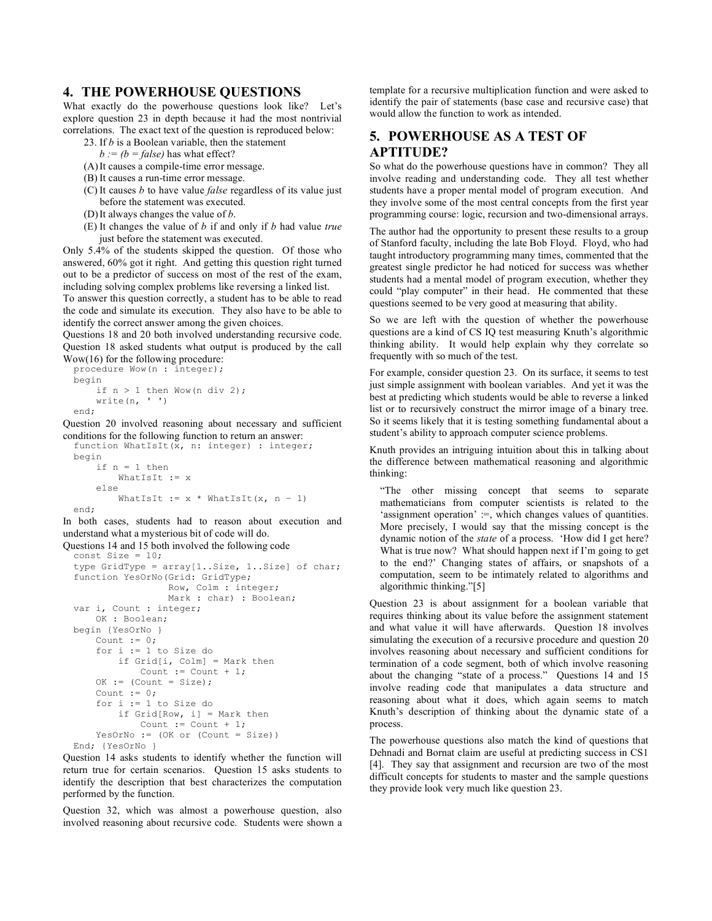#### **4. THE POWERHOUSE QUESTIONS**

What exactly do the powerhouse questions look like? Let's explore question 23 in depth because it had the most nontrivial correlations. The exact text of the question is reproduced below:

23. If *b* is a Boolean variable, then the statement

```
b := (b = false) has what effect?
```
- (A)It causes a compile-time error message.
- (B) It causes a run-time error message.
- (C) It causes *b* to have value *false* regardless of its value just before the statement was executed.
- (D)It always changes the value of *b*.
- (E) It changes the value of *b* if and only if *b* had value *true* just before the statement was executed.

Only 5.4% of the students skipped the question. Of those who answered, 60% got it right. And getting this question right turned out to be a predictor of success on most of the rest of the exam, including solving complex problems like reversing a linked list. To answer this question correctly, a student has to be able to read the code and simulate its execution. They also have to be able to identify the correct answer among the given choices.

Questions 18 and 20 both involved understanding recursive code. Question 18 asked students what output is produced by the call Wow(16) for the following procedure:

procedure Wow(n : integer); begin if  $n > 1$  then Wow(n div 2); write(n, ' ') end;

Question 20 involved reasoning about necessary and sufficient conditions for the following function to return an answer:

```
function WhatIsIt(x, n: integer) : integer;
begin
    if n = 1 then
       WhatIsIt := x
    else
        WhatIsIt := x * WhatIsIt(x, n - 1)end;
```
In both cases, students had to reason about execution and understand what a mysterious bit of code will do.

Questions 14 and 15 both involved the following code const Size =  $10;$ 

```
type GridType = array[1..Size, 1..Size] of char;
function YesOrNo(Grid: GridType;
                 Row, Colm : integer;
                 Mark : char) : Boolean;
var i, Count : integer;
   OK : Boolean;
begin {YesOrNo }
   Count := 0;for i := 1 to Size do
       if Grid[i, Colm] = Mark then
            Count := Count +1;OK := (Count = Size);
    Count := 0;for i := 1 to Size do
        if Grid[Row, i] = Mark then
            Count := Count +1;YesOrNo := (OK or (Count = Size))End; {YesOrNo }
```
Question 14 asks students to identify whether the function will return true for certain scenarios. Question 15 asks students to identify the description that best characterizes the computation performed by the function.

Question 32, which was almost a powerhouse question, also involved reasoning about recursive code. Students were shown a

template for a recursive multiplication function and were asked to identify the pair of statements (base case and recursive case) that would allow the function to work as intended.

# **5. POWERHOUSE AS A TEST OF APTITUDE?**

So what do the powerhouse questions have in common? They all involve reading and understanding code. They all test whether students have a proper mental model of program execution. And they involve some of the most central concepts from the first year programming course: logic, recursion and two-dimensional arrays.

The author had the opportunity to present these results to a group of Stanford faculty, including the late Bob Floyd. Floyd, who had taught introductory programming many times, commented that the greatest single predictor he had noticed for success was whether students had a mental model of program execution, whether they could "play computer" in their head. He commented that these questions seemed to be very good at measuring that ability.

So we are left with the question of whether the powerhouse questions are a kind of CS IQ test measuring Knuth's algorithmic thinking ability. It would help explain why they correlate so frequently with so much of the test.

For example, consider question 23. On its surface, it seems to test just simple assignment with boolean variables. And yet it was the best at predicting which students would be able to reverse a linked list or to recursively construct the mirror image of a binary tree. So it seems likely that it is testing something fundamental about a student's ability to approach computer science problems.

Knuth provides an intriguing intuition about this in talking about the difference between mathematical reasoning and algorithmic thinking:

"The other missing concept that seems to separate mathematicians from computer scientists is related to the 'assignment operation' :=, which changes values of quantities. More precisely, I would say that the missing concept is the dynamic notion of the *state* of a process. 'How did I get here? What is true now? What should happen next if I'm going to get to the end?' Changing states of affairs, or snapshots of a computation, seem to be intimately related to algorithms and algorithmic thinking."[5]

Question 23 is about assignment for a boolean variable that requires thinking about its value before the assignment statement and what value it will have afterwards. Question 18 involves simulating the execution of a recursive procedure and question 20 involves reasoning about necessary and sufficient conditions for termination of a code segment, both of which involve reasoning about the changing "state of a process." Questions 14 and 15 involve reading code that manipulates a data structure and reasoning about what it does, which again seems to match Knuth's description of thinking about the dynamic state of a process.

The powerhouse questions also match the kind of questions that Dehnadi and Bornat claim are useful at predicting success in CS1 [4]. They say that assignment and recursion are two of the most difficult concepts for students to master and the sample questions they provide look very much like question 23.